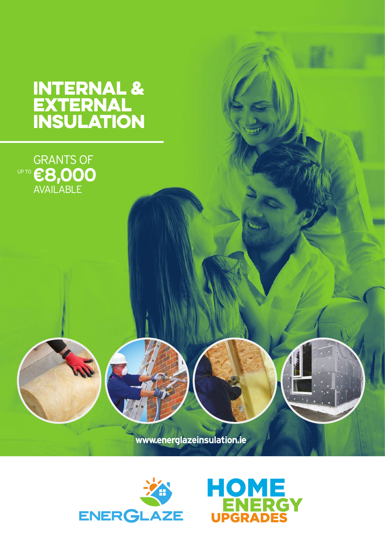# INTERNAL & EXTERNAL INSULATION

**AN** 



**www.energlazeinsulation.ie**



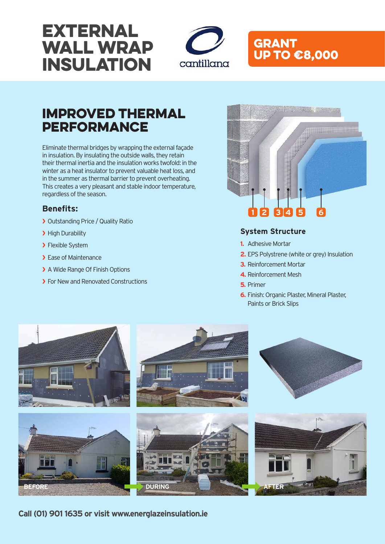# EXTERNAL WALL WRAP INSULATION



## GRANT UP TO €8,000

# Improved Thermal **PERFORMANCE**

Eliminate thermal bridges by wrapping the external façade in insulation. By insulating the outside walls, they retain their thermal inertia and the insulation works twofold: in the winter as a heat insulator to prevent valuable heat loss, and in the summer as thermal barrier to prevent overheating. This creates a very pleasant and stable indoor temperature, regardless of the season.

### **Benefits:**

- ❯ Outstanding Price / Quality Ratio
- > High Durability
- > Flexible System
- > Ease of Maintenance
- > A Wide Range Of Finish Options
- ▶ For New and Renovated Constructions



### **System Structure**

- **1.** Adhesive Mortar
- **2.** EPS Polystrene (white or grey) Insulation
- **3.** Reinforcement Mortar
- **4.** Reinforcement Mesh
- **5.** Primer
- **6.** Finish: Organic Plaster, Mineral Plaster, Paints or Brick Slips



**Call (01) 901 1635 or visit www.energlazeinsulation.ie**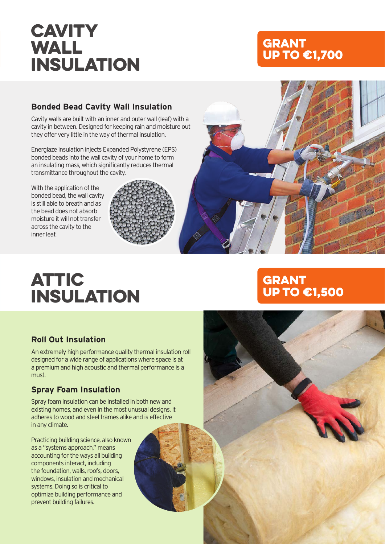# **CAVITY** WALL INSULATION

## GRANT UP TO €1,700

### **Bonded Bead Cavity Wall Insulation**

Cavity walls are built with an inner and outer wall (leaf) with a cavity in between. Designed for keeping rain and moisture out they offer very little in the way of thermal insulation.

Energlaze insulation injects Expanded Polystyrene (EPS) bonded beads into the wall cavity of your home to form an insulating mass, which significantly reduces thermal transmittance throughout the cavity.

With the application of the bonded bead, the wall cavity is still able to breath and as the bead does not absorb moisture it will not transfer across the cavity to the inner leaf.



# ATTIC INSULATION

## **Roll Out Insulation**

An extremely high performance quality thermal insulation roll designed for a wide range of applications where space is at a premium and high acoustic and thermal performance is a must.

## **Spray Foam Insulation**

Spray foam insulation can be installed in both new and existing homes, and even in the most unusual designs. It adheres to wood and steel frames alike and is effective in any climate.

Practicing building science, also known as a "systems approach," means accounting for the ways all building components interact, including the foundation, walls, roofs, doors, windows, insulation and mechanical systems. Doing so is critical to optimize building performance and prevent building failures.

## GRANT UP TO €1,500